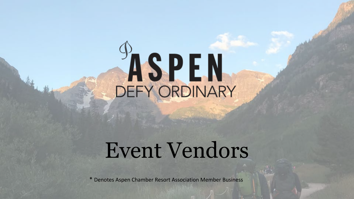# **ASPEN**

# Event Vendors

\* Denotes Aspen Chamber Resort Association Member Business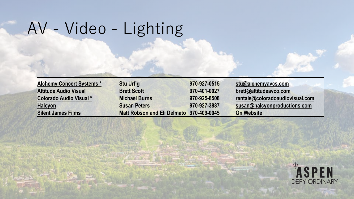# AV - Video - Lighting

| <b>Alchemy Concert Systems *</b> | <b>Stu Urfig</b>                   | 970-927-0515 | stu@alchemyavcs.com             |
|----------------------------------|------------------------------------|--------------|---------------------------------|
| <b>Altitude Audio Visual</b>     | <b>Brett Scott</b>                 | 970-401-0027 | brett@altitudeavco.com          |
| Colorado Audio Visual *          | <b>Michael Burns</b>               | 970-925-8508 | rentals@coloradoaudiovisual.com |
| <b>Halcyon</b>                   | <b>Susan Peters</b>                | 970-927-3887 | susan@halcyonproductions.com    |
| <b>Silent James Films</b>        | <b>Matt Robson and Eli Delmato</b> | 970-409-0045 | <b>On Website</b>               |

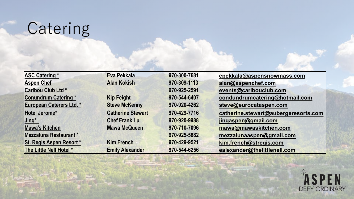# Catering

| <b>ASC Catering *</b>           | Eva Pekkala              | 970-300-7681 | epekkala@aspensnowmass.com           |
|---------------------------------|--------------------------|--------------|--------------------------------------|
| <b>Aspen Chef</b>               | <b>Alan Kokish</b>       | 970-309-1113 | alan@aspenchef.com                   |
| Caribou Club Ltd *              |                          | 970-925-2591 | events@caribouclub.com               |
| <b>Conundrum Catering *</b>     | <b>Kip Feight</b>        | 970-544-6407 | condundrumcatering@hotmail.com       |
| <b>European Caterers Ltd. *</b> | <b>Steve McKenny</b>     | 970-920-4262 | steve@eurocataspen.com               |
| Hotel Jerome*                   | <b>Catherine Stewart</b> | 970-429-7716 | catherine.stewart@aubergeresorts.com |
| Jing*                           | <b>Chef Frank Lu</b>     | 970-920-9988 | jingaspen@gmail.com                  |
| <b>Mawa's Kitchen</b>           | <b>Mawa McQueen</b>      | 970-710-7096 | mawa@mawaskitchen.com                |
| Mezzaluna Restaurant*           |                          | 970-925-5882 | mezzalunaaspen@gmail.com             |
| St. Regis Aspen Resort *        | <b>Kim French</b>        | 970-429-9521 | kim.french@stregis.com               |
| The Little Nell Hotel *         | <b>Emily Alexander</b>   | 970-544-6256 | ealexander@thelittlenell.com         |

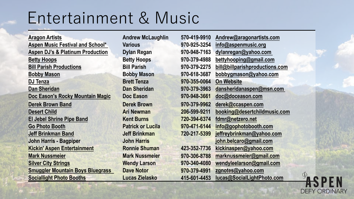# Entertainment & Music

| <b>Aragon Artists</b>                       | <b>Andrew McLaughlin</b> | 570-419-9910 | Andrew@aragonartists.com      |
|---------------------------------------------|--------------------------|--------------|-------------------------------|
| <b>Aspen Music Festival and School*</b>     | <b>Various</b>           | 970-925-3254 | info@aspenmusic.org           |
| <b>Aspen DJ's &amp; Platinum Production</b> | <b>Dylan Regan</b>       | 970-948-7163 | dylanregan@yahoo.com          |
| <b>Betty Hoops</b>                          | <b>Betty Hoops</b>       | 970-379-4988 | bettyhooping@gmail.com        |
| <b>Bill Parish Productions</b>              | <b>Bill Parish</b>       | 970-379-2275 | bill@billparishproductions.co |
| <b>Bobby Mason</b>                          | <b>Bobby Mason</b>       | 970-618-3687 | bobbygmason@yahoo.com         |
| <b>DJ Tenza</b>                             | <b>Brett Tenza</b>       | 970-355-0064 | <b>On Website</b>             |
| <b>Dan Sheridan</b>                         | <b>Dan Sheridan</b>      | 970-379-3963 | dansheridanaspen@msn.com      |
| Doc Eason's Rocky Mountain Magic            | Doc Eason                | 970-948-3661 | doc@doceason.com              |
| <b>Derek Brown Band</b>                     | <b>Derek Brown</b>       | 970-379-9962 | derek@ccaspen.com             |
| <b>Desert Child</b>                         | <b>Ari Newman</b>        | 206-599-9211 | booking@desertchildmusic.co   |
| <b>El Jebel Shrine Pipe Band</b>            | <b>Kent Burns</b>        | 720-394-6374 | fdmr@netzero.net              |
| <b>Go Photo Booth</b>                       | <b>Patrick or Lucila</b> | 970-471-6144 | info@gophotobooth.com         |
| <b>Jeff Brinkman Band</b>                   | <b>Jeff Brinkman</b>     | 720-217-5399 | jeffreybrinkman@yahoo.com     |
| <b>John Harris - Bagpiper</b>               | <b>John Harris</b>       |              | john.belcaro@gmail.com        |
| <b>Kickin' Aspen Entertainment</b>          | <b>Ronnie Shuman</b>     | 423-352-7736 | kickinaspen@yahoo.com         |
| <b>Mark Nussmeier</b>                       | <b>Mark Nussmeier</b>    | 970-306-8788 | marknussmeier@gmail.com       |
| <b>Silver City Strings</b>                  | <b>Wendy Larson</b>      | 970-340-4080 | wendyleelarson@gmail.com      |
| <b>Smuggler Mountain Boys Bluegrass</b>     | <b>Dave Notor</b>        | 970-379-4991 | zgnotes@yahoo.com             |
| <b>Sociallight Photo Booths</b>             | <b>Lucas Zielasko</b>    | 415-601-4453 | lucas@SocialLightPhoto.com    |

| <b>Andrew McLaughlin</b> | 570-419-9910 | Andrew@aragonartists.com       |
|--------------------------|--------------|--------------------------------|
| <b>Various</b>           | 970-925-3254 | info@aspenmusic.org            |
| <b>Dylan Regan</b>       | 970-948-7163 | dylanregan@yahoo.com           |
| <b>Betty Hoops</b>       | 970-379-4988 | bettyhooping@gmail.com         |
| <b>Bill Parish</b>       | 970-379-2275 | bill@billparishproductions.com |
| <b>Bobby Mason</b>       | 970-618-3687 | bobbygmason@yahoo.com          |
| <b>Brett Tenza</b>       | 970-355-0064 | <b>On Website</b>              |
| <b>Dan Sheridan</b>      | 970-379-3963 | dansheridanaspen@msn.com       |
| Doc Eason                | 970-948-3661 | doc@doceason.com               |
| <b>Derek Brown</b>       | 970-379-9962 | derek@ccaspen.com              |
| <b>Ari Newman</b>        | 206-599-9211 | booking@desertchildmusic.com   |
| <b>Kent Burns</b>        | 720-394-6374 | fdmr@netzero.net               |
| <b>Patrick or Lucila</b> | 970-471-6144 | info@gophotobooth.com          |
| <b>Jeff Brinkman</b>     | 720-217-5399 | jeffreybrinkman@yahoo.com      |
| <b>John Harris</b>       |              | john.belcaro@gmail.com         |
| <b>Ronnie Shuman</b>     | 423-352-7736 | kickinaspen@yahoo.com          |
| <b>Mark Nussmeier</b>    | 970-306-8788 | marknussmeier@gmail.com        |
| <b>Wendy Larson</b>      | 970-340-4080 | wendyleelarson@gmail.com       |
| <b>Dave Notor</b>        | 970-379-4991 | zgnotes@yahoo.com              |
| Lucas Zielasko           | 415-601-4453 | lucas@SocialLightPhoto.com     |
|                          |              |                                |

ASPEN **DEFY ORDINARY**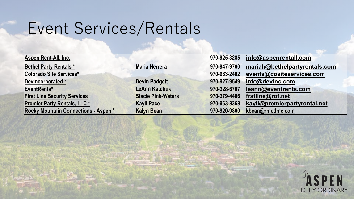# Event Services/Rentals

|                           | 970-925-3285 | info@aspenrentall.com         |
|---------------------------|--------------|-------------------------------|
| <b>Maria Herrera</b>      | 970-947-9700 | mariah@bethelpartyrentals.com |
|                           | 970-963-2482 | events@cositeservices.com     |
| <b>Devin Padgett</b>      | 970-927-9549 | info@devinc.com               |
| <b>LeAnn Katchuk</b>      | 970-328-6707 | leann@eventrents.com          |
| <b>Stacie Pink-Waters</b> | 970-379-4486 | frstline@rof.net              |
| <b>Kayli Pace</b>         | 970-963-8368 | kayli@premierpartyrental.net  |
| <b>Kalyn Bean</b>         | 970-920-9800 | kbean@rmcdmc.com              |
|                           |              |                               |

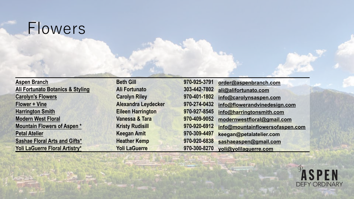### Flowers

**[Aspen Branch](http://www.aspenbranch.com/).**<br> **Beth Gill [Ali Fortunato Botanics & Styling](http://alifortunato.com/) <b>Ali Fortunato [Carolyn's Flowers](http://www.carolynsaspen.com/) Carolyn Riley 970-401-1802 [info@carolynsaspen.com](mailto:info@carolynsaspen.com) [Flower + Vine](https://www.flowerandvinedesign.com/) Alexandra Leydecker [Harrington Smith](http://www.harringtonsmith.com/) Property <b>Eileen Harrington [Modern West Floral](https://www.modernwestfloral.com/) <b>Product All Product Vanessa & Tara 970-909-9052 Mountain Flowers of Aspen.\* All Kristy Rudisill [Petal Atelier](https://www.facebook.com/petalatelier/) <b>Petal Atelier Access 1970-4497 Keegan Amit [Sashae Floral Arts and Gifts\\*](https://www.sashae.com/) Property Reather Kemp [Yoli LaGuerre Floral Artistry\\*](https://www.yleventdesign.com/) <b>Properties Article Article Article Article Article Article Article Article Article Article Article Article Article Article Article Article Article Article Article Article Article Article Ar** 

| 970-925-3791 | order@aspenbranch.com           |
|--------------|---------------------------------|
| 303-442-7802 | ali@alifortunato.com            |
| 970-401-1802 | info@carolynsaspen.com          |
| 970-274-0432 | info@flowerandvinedesign.com    |
| 970-927-8545 | info@harringtonsmith.com        |
| 970-409-9052 | modernwestfloral@gmail.com      |
| 970-920-6912 | info@mountainflowersofaspen.com |
| 970-309-4497 | keegan@petalatelier.com         |
| 970-920-6838 | sashaeaspen@gmail.com           |
| 970-300-8270 | yoli@yolilaguerre.com           |

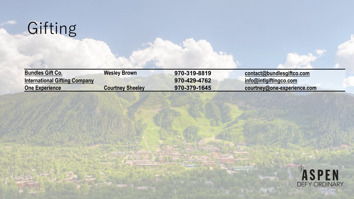

| <b>Bundles Gift Co.</b>              | <b>Wesley Brown</b>     | 970-319-8819 | $contact@b$ undlesgiftco.com       |
|--------------------------------------|-------------------------|--------------|------------------------------------|
| <b>International Gifting Company</b> |                         | 970-429-4762 | $\mathsf{info@intlg}$ iftingco.com |
| <b>One Experience</b>                | <b>Courtney Sheeley</b> | 970-379-1645 | courtney@one-experience.com        |

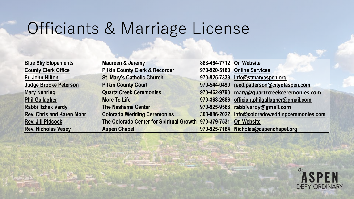# Officiants & Marriage License

| <b>Blue Sky Elopements</b>       | <b>Maureen &amp; Jeremy</b>                           | 888-464-7712 On Website |                                    |
|----------------------------------|-------------------------------------------------------|-------------------------|------------------------------------|
| <b>County Clerk Office</b>       | <b>Pitkin County Clerk &amp; Recorder</b>             | 970-920-5180            | <b>Online Services</b>             |
| Fr. John Hilton                  | <b>St. Mary's Catholic Church</b>                     | 970-925-7339            | info@stmaryaspen.org               |
| <b>Judge Brooke Peterson</b>     | <b>Pitkin County Court</b>                            | 970-544-0499            | reed.patterson@cityofaspen.com     |
| <b>Mary Nehring</b>              | <b>Quartz Creek Ceremonies</b>                        | 970-462-9793            | mary@quartzcreekceremonies.com     |
| <b>Phil Gallagher</b>            | <b>More To Life</b>                                   | 970-368-2686            | officiantphilgallagher@gmail.com   |
| Rabbi Itzhak Vardy               | <b>The Neshama Center</b>                             | 970-925-9568            | rabbivardy@gmail.com               |
| <b>Rev. Chris and Karen Mohr</b> | <b>Colorado Wedding Ceremonies</b>                    | 303-986-2022            | info@coloradoweddingceremonies.com |
| <b>Rev. Jill Pidcock</b>         | The Colorado Center for Spiritual Growth 970-379-7531 |                         | <b>On Website</b>                  |
| <b>Rev. Nicholas Vesey</b>       | <b>Aspen Chapel</b>                                   | 970-925-7184            | Nicholas@aspenchapel.org           |

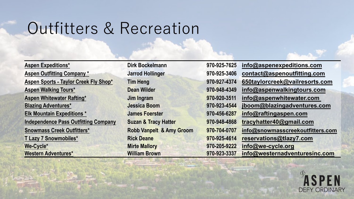# Outfitters & Recreation

**[We-Cycle\\*](https://aspenchamber.org/transportation/bicycling/we-cycle) Mirte Mallory 970-205-9222 [info@we-cycle.org](mailto:info@we-cycle.org)**

**[Aspen Expeditions\\*](https://aspenchamber.org/business-directory/aspen-expeditions-worldwide) Dirk Bockelmann 970-925-7625 [info@aspenexpeditions.com](http://aspenexpeditions.com/contact.php) [Aspen Outfitting Company \\*](https://aspenchamber.org/business-directory/aspen-outfitting-company) Jarrod Hollinger 970-925-3406 [contact@aspenoutfitting.com](mailto:contact@aspenoutfitting.com) Aspen Sports - [Taylor Creek Fly Shop\\*](https://aspenchamber.org/business-directory/aspen-sports) Tim Heng 970-927-4374 [650taylorcreek@vailresorts.com](mailto:650taylorcreek@vailresorts.com) [Aspen Walking Tours\\*](https://aspenchamber.org/recreation/sightseeing-tours/aspen-walking-tours) Dean Wilder 970-948-4349 [info@aspenwalkingtours.com](mailto:info@aspenwalkingtours.com) [Aspen Whitewater Rafting\\*](http://aspenwhitewater.com) Jim Ingram 970-920-3511 [info@aspenwhitewater.com](mailto:info@aspenwhitewater.com) [Blazing Adventures\\*](https://aspenchamber.org/recreation/climbing-hiking-guides/blazing-adventures) Jessica Boom 970-923-4544 jboom@blazingadventures.com [Elk Mountain Expeditions \\*](https://aspenchamber.org/recreation/rafting-paddle-boarding/elk-mountain-expeditions) James Foerster 970-456-6287 [info@raftingaspen.com](mailto:info@elkmtnexpeditions.com) [Independence Pass Outfitting Company](https://independencepassoutfitters.com/) Suzan & Tracy Hatter 970-948-4868 [tracyhatter40@gmail.com](mailto:tracyhatter40@gmail.com) [Snowmass Creek Outfitters\\*](https://www.snowmasscreekoutfitters.com/) Robb Vanpelt & Amy Groom 970-704-0707 [info@snowmasscreekoutfitters.com](mailto:info@snowmasscreekoutfitters.com) [T Lazy 7 Snowmobiles\\*](https://aspenchamber.org/recreation/snowmobiling/t-lazy-7-snowmobiles) Rick Deane 970-925-4614 [reservations@tlazy7.com](mailto:theranch@tlazy7.com) [Western Adventures\\*](https://aspenchamber.org/business-directory/western-adventures-inc) William Brown 970-923-3337 [info@westernadventuresinc.com](mailto:info@westernadventuresinc.com)**

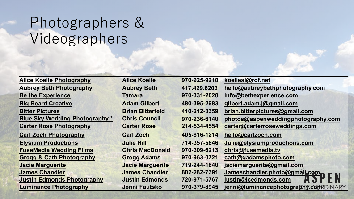#### Photographers & Videographers

| <b>Alice Koelle Photography</b>     | <b>Alice Koelle</b>     | 970-925-9210 | koelleal@rof.net                      |
|-------------------------------------|-------------------------|--------------|---------------------------------------|
| <b>Aubrey Beth Photography</b>      | <b>Aubrey Beth</b>      | 417.429.8203 | hello@aubreybethphotography.com       |
| <b>Be the Experience</b>            | <b>Tamara</b>           | 970-331-2028 | info@bethexperience.com               |
| <b>Big Beard Creative</b>           | <b>Adam Gilbert</b>     | 480-395-2983 | gilbert.adam.j@gmail.com              |
| <b>Bitter Pictures</b>              | <b>Brian Bitterfeld</b> | 410-212-8359 | brian.bitterpictures@gmail.com        |
| Blue Sky Wedding Photography *      | <b>Chris Council</b>    | 970-236-6140 | photos@aspenweddingphotography.com    |
| <b>Carter Rose Photography</b>      | <b>Carter Rose</b>      | 214-534-4554 | carter@carterroseweddings.com         |
| <b>Carl Zoch Photography</b>        | <b>Carl Zoch</b>        | 405-816-1214 | hello@carlzoch.com                    |
| <b>Elysium Productions</b>          | <b>Julie Hill</b>       | 714-357-5846 | Julie@elysiumproductions.com          |
| <b>FuseMedia Wedding Films</b>      | <b>Chris MacDonald</b>  | 970-309-6213 | chris@fusemedia.tv                    |
| <b>Gregg &amp; Cath Photography</b> | <b>Gregg Adams</b>      | 970-963-0721 | cath@gadamsphoto.com                  |
| <b>Jacie Marguerite</b>             | <b>Jacie Marguerite</b> | 719-244-1840 | jaciemarguerite@gmail.com             |
| <b>James Chandler</b>               | <b>James Chandler</b>   | 802-282-7391 | Jameschandler.photo@gmail.com         |
| <b>Justin Edmonds Photography</b>   | <b>Justin Edmonds</b>   | 720-971-5767 | justin@jcedmonds.com                  |
| <b>Luminance Photography</b>        | Jenni Fautsko           | 970-379-8945 | jenni@luminancephotography.com DINARY |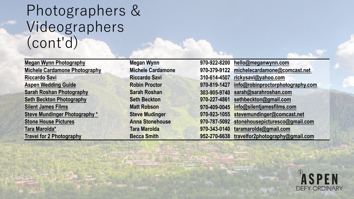#### Photographers & Videographers (cont'd)

| <b>Megan Wynn Photography</b>        | <b>Megan Wynn</b>        | 970-922-8200 | hello@meganwynn.com              |
|--------------------------------------|--------------------------|--------------|----------------------------------|
| <b>Michele Cardamone Photography</b> | <b>Michele Cardamone</b> | 970-379-9122 | michelecardamone@comcast.net     |
| <b>Riccardo Savi</b>                 | <b>Riccardo Savi</b>     | 310-614-4507 | rickysavi@yahoo.com              |
| <b>Aspen Wedding Guide</b>           | <b>Robin Proctor</b>     | 970-819-1427 | info@robinproctorphotography.com |
| <b>Sarah Roshan Photography</b>      | <b>Sarah Roshan</b>      | 303-905-9740 | sarah@sarahroshan.com            |
| <b>Seth Beckton Photography</b>      | <b>Seth Beckton</b>      | 970-227-4861 | sethbeckton@gmail.com            |
| <b>Silent James Films</b>            | <b>Matt Robson</b>       | 970-409-0045 | info@silentjamesfilms.com        |
| <b>Steve Mundinger Photography *</b> | <b>Steve Mudinger</b>    | 970-923-1055 | stevemundinger@comcast.net       |
| <b>Stone House Pictures</b>          | <b>Anna Stonehouse</b>   | 970-787-5092 | stonehousepicturesco@gmail.com   |
| Tara Marolda*                        | <b>Tara Marolda</b>      | 970-343-0140 | taramarolda@gmail.com            |
| <b>Travel for 2 Photography</b>      | <b>Becca Smith</b>       | 952-270-6638 | travelfor2photography@gmail.com  |

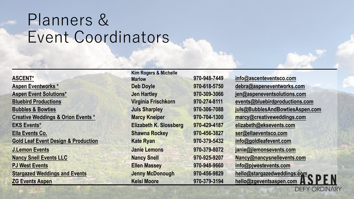# Planners & Event Coordinators

#### **[ASCENT\\*](https://aspenchamber.org/business-directory/ascent-events)**

**[Aspen Eventworks \\*](https://aspenchamber.org/business-directory/aspen-eventworks) Deb Doyle 970-618-5750 [debra@aspeneventworks.com](mailto:debra@aspeneventworks.com) Aspen Event [Solutions](https://aspenchamber.org/business-directory/aspen-event-solutions)\* Jen Hartley 970-309-3066 jen@aspeneventsolutions.com [Bluebird Productions](http://www.bluebirdproductions.com/) Virginia Frischkorn 970-274-8111 [events@bluebirdproductions.com](mailto:events@bluebirdproductions.com) [Bubbles & Bowties](http://bubblesandbowtiesaspen.com/) Juls Sharpley 970-306-7088 [juls@BubblesAndBowtiesAspen.com](mailto:juls@BubblesAndBowtiesAspen.com) [Creative Weddings & Orion Events \\*](https://aspenchamber.org/business-directory/creative-weddings-orion-events) Marcy Kneiper 970-704-1300 marcy@creativeweddings.com [EKS Events\\*](https://aspenchamber.org/business-directory/eks-events) Elizabeth K. Slossberg 970-429-4187 [elizabeth@eksevents.com](mailto:elizabeth@eksevents.com) [Ella Events Co.](https://www.ellaeventsco.com/) Shawna Rockey 970-456-3827 ser@ellaeventsco.com [Gold Leaf Event Design & Production](https://goldleafevent.com/) Kate Ryan 970-379-5432 [info@goldleafevent.com](mailto:info@goldleafevent.com) [J.Lemon Events](https://www.jlemonsevents.com/) Janie Lemons 970-379-8072 [janie@jlemonsevents.com](mailto:janie@jlemonsevents.com) [Nancy Snell Events LLC](http://www.nancysnellevents.com/) Nancy Snell 970-925-9207 [Nancy@nancysnellevents.com](mailto:nancy@nancysnellevents.com) [PJ West Events](http://pjwestevents.com/) Ellen Massey 970-948-9660 [info@pjwestevents.com](mailto:info@pjwestevents.com) [Stargazed Weddings and Events](https://www.stargazedweddings.com/) Jenny McDonough 970-456-9829 hello@stargazedweddings.com**

**Kim Rogers & Michelle** 

**Marlow 970-948-7449 info@ascenteventsco.com [ZG Events Aspen](https://zgeventsaspen.com/) Kelsi Moore 970-379-3194 [hello@zgeventsaspen.com](mailto:hello@zgeventsaspen.com)**

**DEFY ORDINARY**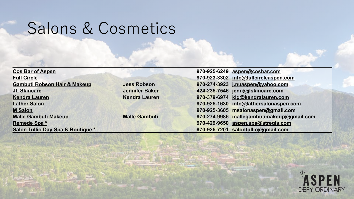### Salons & Cosmetics

| <b>Cos Bar of Aspen</b>                 |                       | 970-925-6249 aspen@cosbar.com                |  |
|-----------------------------------------|-----------------------|----------------------------------------------|--|
| <b>Full Circle</b>                      |                       | 970-923-3302 info@fullcircleaspen.com        |  |
| <b>Gambuti Robson Hair &amp; Makeup</b> | <b>Jess Robson</b>    | 970-274-3923 j.nuaspen@yahoo.com             |  |
| <b>JL Skincare</b>                      | <b>Jennifer Baker</b> | 424-235-7546 jenn@jlskincare.com             |  |
| <b>Kendra Lauren</b>                    | <b>Kendra Lauren</b>  | 970-379-6974 klg@kendralauren.com            |  |
| <b>Lather Salon</b>                     |                       | 970-925-1630 info@lathersalonaspen.com       |  |
| <b>M Salon</b>                          |                       | 970-925-3605 msalonaspen@gmail.com           |  |
| <b>Malle Gambuti Makeup</b>             | <b>Malle Gambuti</b>  | mallegambutimakeup@gmail.com<br>970-274-9986 |  |
| Remede Spa *                            |                       | aspen.spa@stregis.com<br>970-429-9650        |  |
| Salon Tullio Day Spa & Boutique *       |                       | 970-925-7201 salontullio@gmail.com           |  |

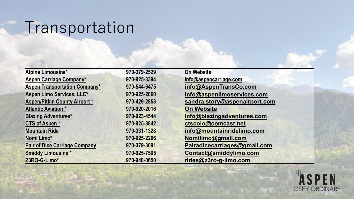# Transportation

| <b>Alpine Limousine*</b>             | 970-379-2529 | <b>On Website</b>             |
|--------------------------------------|--------------|-------------------------------|
| <b>Aspen Carriage Company*</b>       | 970-925-3394 | info@aspencarriage.com        |
| <b>Aspen Transportation Company*</b> | 970-544-6475 | info@AspenTransCo.com         |
| Aspen Limo Services, LLC*            | 970-925-2060 | info@aspenlimoservices.com    |
| <b>Aspen/Pitkin County Airport *</b> | 970-429-2853 | sandra.story@aspenairport.com |
| <b>Atlantic Aviation *</b>           | 970-920-2016 | <b>On Website</b>             |
| <b>Blazing Adventures*</b>           | 970-923-4544 | info@blazingadventures.com    |
| <b>CTS of Aspen*</b>                 | 970-925-8842 | ctscolo@comcast.net           |
| <b>Mountain Ride</b>                 | 970-331-1328 | info@mountainridelimo.com     |
| Nomi Limo*                           | 970-925-2266 | Nomilimo@gmail.com            |
| <b>Pair of Dice Carriage Company</b> | 970-379-3091 | Pairadicecarriages@gmail.com  |
| <b>Smiddy Limousine *</b>            | 970-925-7505 | Contact@smiddylimo.com        |
| Z3RO-G-Limo*                         | 970-948-0650 | rides@z3ro-g-limo.com         |

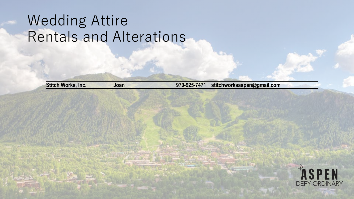#### Wedding Attire Rentals and Alterations

**[Stitch Works, Inc.](http://aspenformalwear.net/aboutus.html) Joan 970-925-7471 [stitchworksaspen@gmail.com](mailto:stitchworksaspen@gmail.com)**